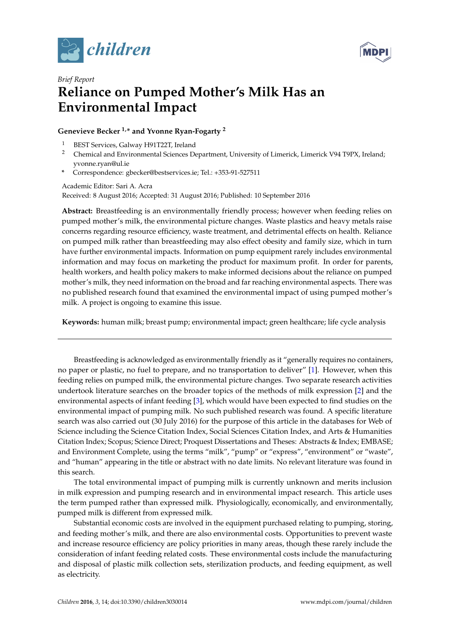



## *Brief Report* **Reliance on Pumped Mother's Milk Has an Environmental Impact**

## **Genevieve Becker 1,\* and Yvonne Ryan-Fogarty <sup>2</sup>**

- <sup>1</sup> BEST Services, Galway H91T22T, Ireland<br><sup>2</sup> Chamical and Environmental Sciences D
- <sup>2</sup> Chemical and Environmental Sciences Department, University of Limerick, Limerick V94 T9PX, Ireland; yvonne.ryan@ul.ie
- **\*** Correspondence: gbecker@bestservices.ie; Tel.: +353-91-527511

Academic Editor: Sari A. Acra Received: 8 August 2016; Accepted: 31 August 2016; Published: 10 September 2016

**Abstract:** Breastfeeding is an environmentally friendly process; however when feeding relies on pumped mother's milk, the environmental picture changes. Waste plastics and heavy metals raise concerns regarding resource efficiency, waste treatment, and detrimental effects on health. Reliance on pumped milk rather than breastfeeding may also effect obesity and family size, which in turn have further environmental impacts. Information on pump equipment rarely includes environmental information and may focus on marketing the product for maximum profit. In order for parents, health workers, and health policy makers to make informed decisions about the reliance on pumped mother's milk, they need information on the broad and far reaching environmental aspects. There was no published research found that examined the environmental impact of using pumped mother's milk. A project is ongoing to examine this issue.

**Keywords:** human milk; breast pump; environmental impact; green healthcare; life cycle analysis

Breastfeeding is acknowledged as environmentally friendly as it "generally requires no containers, no paper or plastic, no fuel to prepare, and no transportation to deliver" [\[1\]](#page-2-0). However, when this feeding relies on pumped milk, the environmental picture changes. Two separate research activities undertook literature searches on the broader topics of the methods of milk expression [\[2\]](#page-2-1) and the environmental aspects of infant feeding [\[3\]](#page-2-2), which would have been expected to find studies on the environmental impact of pumping milk. No such published research was found. A specific literature search was also carried out (30 July 2016) for the purpose of this article in the databases for Web of Science including the Science Citation Index, Social Sciences Citation Index, and Arts & Humanities Citation Index; Scopus; Science Direct; Proquest Dissertations and Theses: Abstracts & Index; EMBASE; and Environment Complete, using the terms "milk", "pump" or "express", "environment" or "waste", and "human" appearing in the title or abstract with no date limits. No relevant literature was found in this search.

The total environmental impact of pumping milk is currently unknown and merits inclusion in milk expression and pumping research and in environmental impact research. This article uses the term pumped rather than expressed milk. Physiologically, economically, and environmentally, pumped milk is different from expressed milk.

Substantial economic costs are involved in the equipment purchased relating to pumping, storing, and feeding mother's milk, and there are also environmental costs. Opportunities to prevent waste and increase resource efficiency are policy priorities in many areas, though these rarely include the consideration of infant feeding related costs. These environmental costs include the manufacturing and disposal of plastic milk collection sets, sterilization products, and feeding equipment, as well as electricity.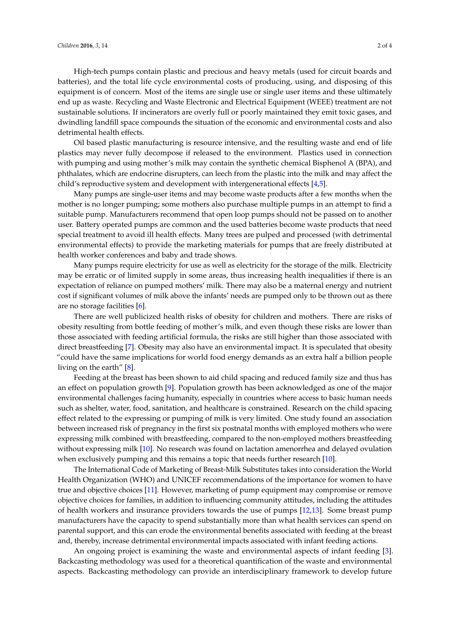High-tech pumps contain plastic and precious and heavy metals (used for circuit boards and batteries), and the total life cycle environmental costs of producing, using, and disposing of this equipment is of concern. Most of the items are single use or single user items and these ultimately end up as waste. Recycling and Waste Electronic and Electrical Equipment (WEEE) treatment are not sustainable solutions. If incinerators are overly full or poorly maintained they emit toxic gases, and dwindling landfill space compounds the situation of the economic and environmental costs and also detrimental health effects.

Oil based plastic manufacturing is resource intensive, and the resulting waste and end of life plastics may never fully decompose if released to the environment. Plastics used in connection with pumping and using mother's milk may contain the synthetic chemical Bisphenol A (BPA), and phthalates, which are endocrine disrupters, can leech from the plastic into the milk and may affect the child's reproductive system and development with intergenerational effects [\[4,](#page-2-3)[5\]](#page-2-4).

Many pumps are single-user items and may become waste products after a few months when the mother is no longer pumping; some mothers also purchase multiple pumps in an attempt to find a suitable pump. Manufacturers recommend that open loop pumps should not be passed on to another user. Battery operated pumps are common and the used batteries become waste products that need special treatment to avoid ill health effects. Many trees are pulped and processed (with detrimental environmental effects) to provide the marketing materials for pumps that are freely distributed at health worker conferences and baby and trade shows.

Many pumps require electricity for use as well as electricity for the storage of the milk. Electricity may be erratic or of limited supply in some areas, thus increasing health inequalities if there is an expectation of reliance on pumped mothers' milk. There may also be a maternal energy and nutrient cost if significant volumes of milk above the infants' needs are pumped only to be thrown out as there are no storage facilities [\[6\]](#page-2-5).

There are well publicized health risks of obesity for children and mothers. There are risks of obesity resulting from bottle feeding of mother's milk, and even though these risks are lower than those associated with feeding artificial formula, the risks are still higher than those associated with direct breastfeeding [\[7\]](#page-2-6). Obesity may also have an environmental impact. It is speculated that obesity "could have the same implications for world food energy demands as an extra half a billion people living on the earth" [\[8\]](#page-2-7).

Feeding at the breast has been shown to aid child spacing and reduced family size and thus has an effect on population growth [\[9\]](#page-2-8). Population growth has been acknowledged as one of the major environmental challenges facing humanity, especially in countries where access to basic human needs such as shelter, water, food, sanitation, and healthcare is constrained. Research on the child spacing effect related to the expressing or pumping of milk is very limited. One study found an association between increased risk of pregnancy in the first six postnatal months with employed mothers who were expressing milk combined with breastfeeding, compared to the non-employed mothers breastfeeding without expressing milk [\[10\]](#page-2-9). No research was found on lactation amenorrhea and delayed ovulation when exclusively pumping and this remains a topic that needs further research [\[10\]](#page-2-9).

The International Code of Marketing of Breast-Milk Substitutes takes into consideration the World Health Organization (WHO) and UNICEF recommendations of the importance for women to have true and objective choices [\[11\]](#page-2-10). However, marketing of pump equipment may compromise or remove objective choices for families, in addition to influencing community attitudes, including the attitudes of health workers and insurance providers towards the use of pumps [\[12,](#page-2-11)[13\]](#page-3-0). Some breast pump manufacturers have the capacity to spend substantially more than what health services can spend on parental support, and this can erode the environmental benefits associated with feeding at the breast and, thereby, increase detrimental environmental impacts associated with infant feeding actions.

An ongoing project is examining the waste and environmental aspects of infant feeding [\[3\]](#page-2-2). Backcasting methodology was used for a theoretical quantification of the waste and environmental aspects. Backcasting methodology can provide an interdisciplinary framework to develop future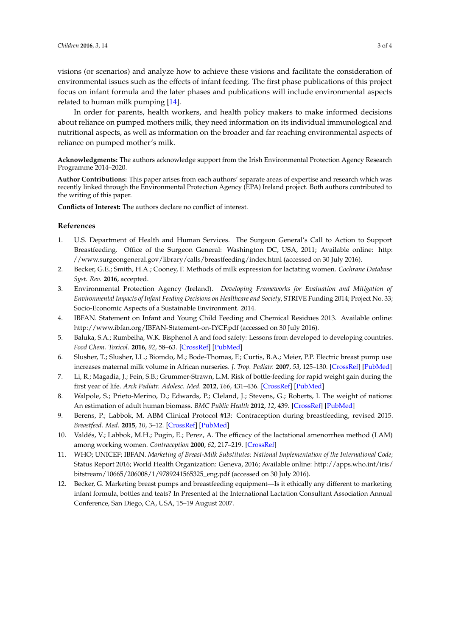visions (or scenarios) and analyze how to achieve these visions and facilitate the consideration of environmental issues such as the effects of infant feeding. The first phase publications of this project focus on infant formula and the later phases and publications will include environmental aspects related to human milk pumping [\[14\]](#page-3-1).

In order for parents, health workers, and health policy makers to make informed decisions about reliance on pumped mothers milk, they need information on its individual immunological and nutritional aspects, as well as information on the broader and far reaching environmental aspects of reliance on pumped mother's milk.

**Acknowledgments:** The authors acknowledge support from the Irish Environmental Protection Agency Research Programme 2014–2020.

**Author Contributions:** This paper arises from each authors' separate areas of expertise and research which was recently linked through the Environmental Protection Agency (EPA) Ireland project. Both authors contributed to the writing of this paper.

**Conflicts of Interest:** The authors declare no conflict of interest.

## **References**

- <span id="page-2-0"></span>1. U.S. Department of Health and Human Services. The Surgeon General's Call to Action to Support Breastfeeding. Office of the Surgeon General: Washington DC, USA, 2011; Available online: [http:](http://www.surgeongeneral.gov/library/calls/breastfeeding/index.html) [//www.surgeongeneral.gov/library/calls/breastfeeding/index.html](http://www.surgeongeneral.gov/library/calls/breastfeeding/index.html) (accessed on 30 July 2016).
- <span id="page-2-1"></span>2. Becker, G.E.; Smith, H.A.; Cooney, F. Methods of milk expression for lactating women. *Cochrane Database Syst. Rev.* **2016**, accepted.
- <span id="page-2-2"></span>3. Environmental Protection Agency (Ireland). *Developing Frameworks for Evaluation and Mitigation of Environmental Impacts of Infant Feeding Decisions on Healthcare and Society*, STRIVE Funding 2014; Project No. 33; Socio-Economic Aspects of a Sustainable Environment. 2014.
- <span id="page-2-3"></span>4. IBFAN. Statement on Infant and Young Child Feeding and Chemical Residues 2013. Available online: <http://www.ibfan.org/IBFAN-Statement-on-IYCF.pdf> (accessed on 30 July 2016).
- <span id="page-2-4"></span>5. Baluka, S.A.; Rumbeiha, W.K. Bisphenol A and food safety: Lessons from developed to developing countries. *Food Chem. Toxicol.* **2016**, *92*, 58–63. [\[CrossRef\]](http://dx.doi.org/10.1016/j.fct.2016.03.025) [\[PubMed\]](http://www.ncbi.nlm.nih.gov/pubmed/27041591)
- <span id="page-2-5"></span>6. Slusher, T.; Slusher, I.L.; Biomdo, M.; Bode-Thomas, F.; Curtis, B.A.; Meier, P.P. Electric breast pump use increases maternal milk volume in African nurseries. *J. Trop. Pediatr.* **2007**, *53*, 125–130. [\[CrossRef\]](http://dx.doi.org/10.1093/tropej/fml066) [\[PubMed\]](http://www.ncbi.nlm.nih.gov/pubmed/17409102)
- <span id="page-2-6"></span>7. Li, R.; Magadia, J.; Fein, S.B.; Grummer-Strawn, L.M. Risk of bottle-feeding for rapid weight gain during the first year of life. *Arch Pediatr. Adolesc. Med.* **2012**, *166*, 431–436. [\[CrossRef\]](http://dx.doi.org/10.1001/archpediatrics.2011.1665) [\[PubMed\]](http://www.ncbi.nlm.nih.gov/pubmed/22566543)
- <span id="page-2-7"></span>8. Walpole, S.; Prieto-Merino, D.; Edwards, P.; Cleland, J.; Stevens, G.; Roberts, I. The weight of nations: An estimation of adult human biomass. *BMC Public Health* **2012**, *12*, 439. [\[CrossRef\]](http://dx.doi.org/10.1186/1471-2458-12-439) [\[PubMed\]](http://www.ncbi.nlm.nih.gov/pubmed/22709383)
- <span id="page-2-8"></span>9. Berens, P.; Labbok, M. ABM Clinical Protocol #13: Contraception during breastfeeding, revised 2015. *Breastfeed. Med.* **2015**, *10*, 3–12. [\[CrossRef\]](http://dx.doi.org/10.1089/bfm.2015.9999) [\[PubMed\]](http://www.ncbi.nlm.nih.gov/pubmed/25551519)
- <span id="page-2-9"></span>10. Valdés, V.; Labbok, M.H.; Pugin, E.; Perez, A. The efficacy of the lactational amenorrhea method (LAM) among working women. *Contraception* **2000**, *62*, 217–219. [\[CrossRef\]](http://dx.doi.org/10.1016/S0010-7824(00)00170-0)
- <span id="page-2-10"></span>11. WHO; UNICEF; IBFAN. *Marketing of Breast-Milk Substitutes: National Implementation of the International Code*; Status Report 2016; World Health Organization: Geneva, 2016; Available online: [http://apps.who.int/iris/](http://apps.who.int/iris/bitstream/10665/206008/1/9789241565325_eng.pdf) [bitstream/10665/206008/1/9789241565325\\_eng.pdf](http://apps.who.int/iris/bitstream/10665/206008/1/9789241565325_eng.pdf) (accessed on 30 July 2016).
- <span id="page-2-11"></span>12. Becker, G. Marketing breast pumps and breastfeeding equipment—Is it ethically any different to marketing infant formula, bottles and teats? In Presented at the International Lactation Consultant Association Annual Conference, San Diego, CA, USA, 15–19 August 2007.